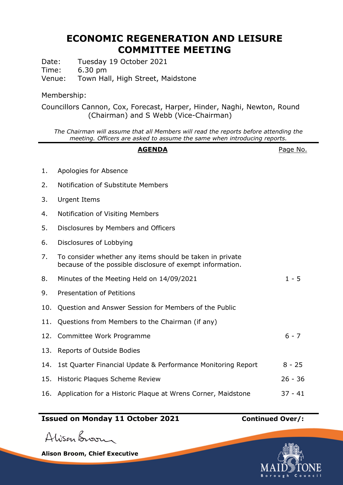# **ECONOMIC REGENERATION AND LEISURE COMMITTEE MEETING**

Date: Tuesday 19 October 2021

Time: 6.30 pm

Venue: Town Hall, High Street, Maidstone

# Membership:

Councillors Cannon, Cox, Forecast, Harper, Hinder, Naghi, Newton, Round (Chairman) and S Webb (Vice-Chairman)

*The Chairman will assume that all Members will read the reports before attending the meeting. Officers are asked to assume the same when introducing reports.*

#### **AGENDA** Page No.

- 1. Apologies for Absence
- 2. Notification of Substitute Members
- 3. Urgent Items
- 4. Notification of Visiting Members
- 5. Disclosures by Members and Officers
- 6. Disclosures of Lobbying
- 7. To consider whether any items should be taken in private because of the possible disclosure of exempt information.
- 8. Minutes of the Meeting Held on 14/09/2021 1 5
- 9. Presentation of Petitions
- 10. Question and Answer Session for Members of the Public
- 11. Questions from Members to the Chairman (if any)
- 12. Committee Work Programme 6 7
- 13. Reports of Outside Bodies
- 14. 1st Quarter Financial Update & Performance Monitoring Report 8 25
- 15. Historic Plaques Scheme Review 26 36
- 16. Application for a Historic Plaque at Wrens Corner, Maidstone 37 41

# **Issued on Monday 11 October 2021 Continued Over/:**

Alisan Broom

**Alison Broom, Chief Executive**